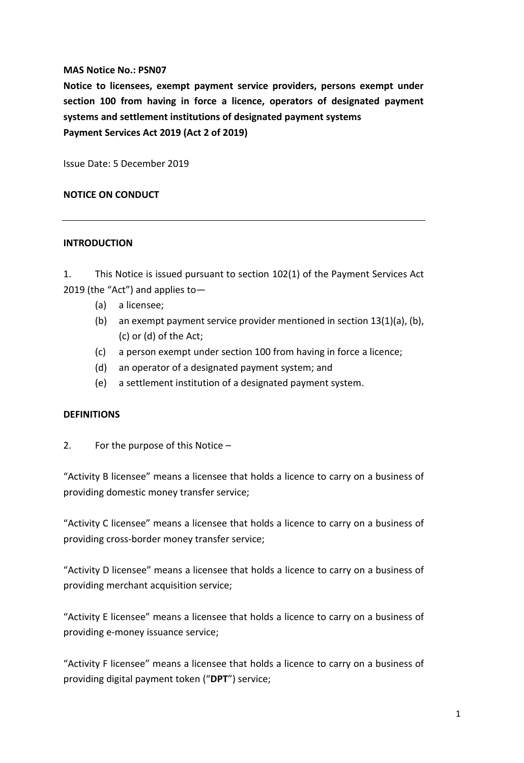#### **MAS Notice No.: PSN07**

**Notice to licensees, exempt payment service providers, persons exempt under section 100 from having in force a licence, operators of designated payment systems and settlement institutions of designated payment systems Payment Services Act 2019 (Act 2 of 2019)**

Issue Date: 5 December 2019

#### **NOTICE ON CONDUCT**

#### **INTRODUCTION**

1. This Notice is issued pursuant to section 102(1) of the Payment Services Act 2019 (the "Act") and applies to—

- (a) a licensee;
- (b) an exempt payment service provider mentioned in section 13(1)(a), (b), (c) or (d) of the Act;
- (c) a person exempt under section 100 from having in force a licence;
- (d) an operator of a designated payment system; and
- (e) a settlement institution of a designated payment system.

#### **DEFINITIONS**

2. For the purpose of this Notice –

"Activity B licensee" means a licensee that holds a licence to carry on a business of providing domestic money transfer service;

"Activity C licensee" means a licensee that holds a licence to carry on a business of providing cross-border money transfer service;

"Activity D licensee" means a licensee that holds a licence to carry on a business of providing merchant acquisition service;

"Activity E licensee" means a licensee that holds a licence to carry on a business of providing e-money issuance service;

"Activity F licensee" means a licensee that holds a licence to carry on a business of providing digital payment token ("**DPT**") service;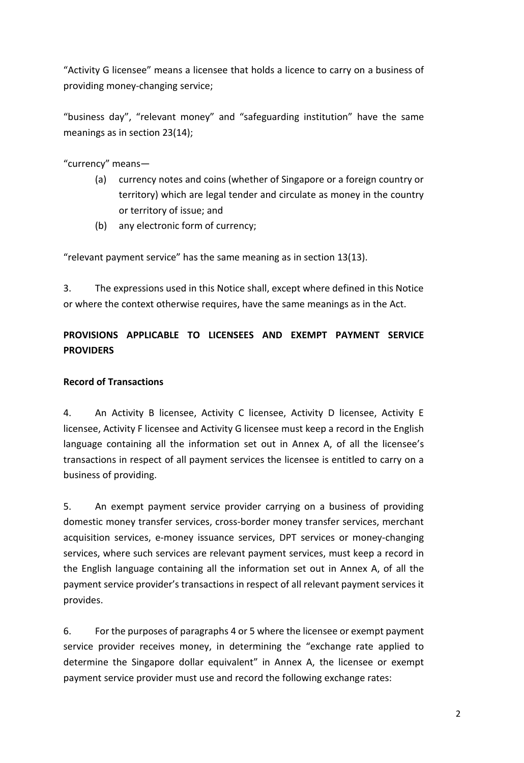"Activity G licensee" means a licensee that holds a licence to carry on a business of providing money-changing service;

"business day", "relevant money" and "safeguarding institution" have the same meanings as in section 23(14);

"currency" means—

- (a) currency notes and coins (whether of Singapore or a foreign country or territory) which are legal tender and circulate as money in the country or territory of issue; and
- (b) any electronic form of currency;

"relevant payment service" has the same meaning as in section 13(13).

3. The expressions used in this Notice shall, except where defined in this Notice or where the context otherwise requires, have the same meanings as in the Act.

# **PROVISIONS APPLICABLE TO LICENSEES AND EXEMPT PAYMENT SERVICE PROVIDERS**

# **Record of Transactions**

4. An Activity B licensee, Activity C licensee, Activity D licensee, Activity E licensee, Activity F licensee and Activity G licensee must keep a record in the English language containing all the information set out in Annex A, of all the licensee's transactions in respect of all payment services the licensee is entitled to carry on a business of providing.

5. An exempt payment service provider carrying on a business of providing domestic money transfer services, cross-border money transfer services, merchant acquisition services, e-money issuance services, DPT services or money-changing services, where such services are relevant payment services, must keep a record in the English language containing all the information set out in Annex A, of all the payment service provider's transactions in respect of all relevant payment services it provides.

6. For the purposes of paragraphs 4 or 5 where the licensee or exempt payment service provider receives money, in determining the "exchange rate applied to determine the Singapore dollar equivalent" in Annex A, the licensee or exempt payment service provider must use and record the following exchange rates: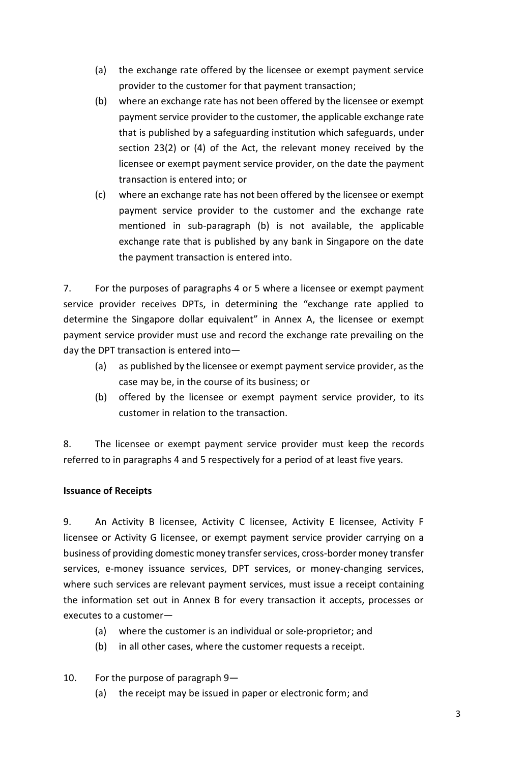- (a) the exchange rate offered by the licensee or exempt payment service provider to the customer for that payment transaction;
- (b) where an exchange rate has not been offered by the licensee or exempt payment service provider to the customer, the applicable exchange rate that is published by a safeguarding institution which safeguards, under section 23(2) or (4) of the Act, the relevant money received by the licensee or exempt payment service provider, on the date the payment transaction is entered into; or
- (c) where an exchange rate has not been offered by the licensee or exempt payment service provider to the customer and the exchange rate mentioned in sub-paragraph (b) is not available, the applicable exchange rate that is published by any bank in Singapore on the date the payment transaction is entered into.

7. For the purposes of paragraphs 4 or 5 where a licensee or exempt payment service provider receives DPTs, in determining the "exchange rate applied to determine the Singapore dollar equivalent" in Annex A, the licensee or exempt payment service provider must use and record the exchange rate prevailing on the day the DPT transaction is entered into—

- (a) as published by the licensee or exempt payment service provider, as the case may be, in the course of its business; or
- (b) offered by the licensee or exempt payment service provider, to its customer in relation to the transaction.

8. The licensee or exempt payment service provider must keep the records referred to in paragraphs 4 and 5 respectively for a period of at least five years.

# **Issuance of Receipts**

9. An Activity B licensee, Activity C licensee, Activity E licensee, Activity F licensee or Activity G licensee, or exempt payment service provider carrying on a business of providing domestic money transfer services, cross-border money transfer services, e-money issuance services, DPT services, or money-changing services, where such services are relevant payment services, must issue a receipt containing the information set out in Annex B for every transaction it accepts, processes or executes to a customer—

- (a) where the customer is an individual or sole-proprietor; and
- (b) in all other cases, where the customer requests a receipt.

# 10. For the purpose of paragraph 9—

(a) the receipt may be issued in paper or electronic form; and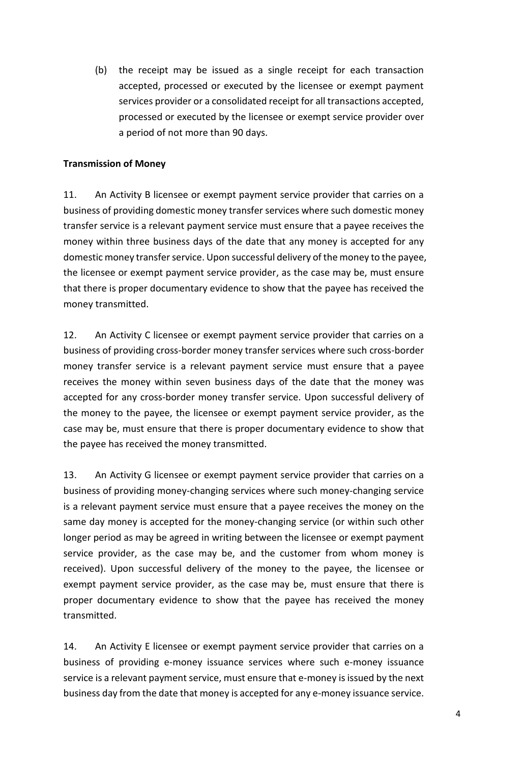(b) the receipt may be issued as a single receipt for each transaction accepted, processed or executed by the licensee or exempt payment services provider or a consolidated receipt for all transactions accepted, processed or executed by the licensee or exempt service provider over a period of not more than 90 days.

#### **Transmission of Money**

11. An Activity B licensee or exempt payment service provider that carries on a business of providing domestic money transfer services where such domestic money transfer service is a relevant payment service must ensure that a payee receives the money within three business days of the date that any money is accepted for any domestic money transfer service. Upon successful delivery of the money to the payee, the licensee or exempt payment service provider, as the case may be, must ensure that there is proper documentary evidence to show that the payee has received the money transmitted.

12. An Activity C licensee or exempt payment service provider that carries on a business of providing cross-border money transfer services where such cross-border money transfer service is a relevant payment service must ensure that a payee receives the money within seven business days of the date that the money was accepted for any cross-border money transfer service. Upon successful delivery of the money to the payee, the licensee or exempt payment service provider, as the case may be, must ensure that there is proper documentary evidence to show that the payee has received the money transmitted.

13. An Activity G licensee or exempt payment service provider that carries on a business of providing money-changing services where such money-changing service is a relevant payment service must ensure that a payee receives the money on the same day money is accepted for the money-changing service (or within such other longer period as may be agreed in writing between the licensee or exempt payment service provider, as the case may be, and the customer from whom money is received). Upon successful delivery of the money to the payee, the licensee or exempt payment service provider, as the case may be, must ensure that there is proper documentary evidence to show that the payee has received the money transmitted.

14. An Activity E licensee or exempt payment service provider that carries on a business of providing e-money issuance services where such e-money issuance service is a relevant payment service, must ensure that e-money is issued by the next business day from the date that money is accepted for any e-money issuance service.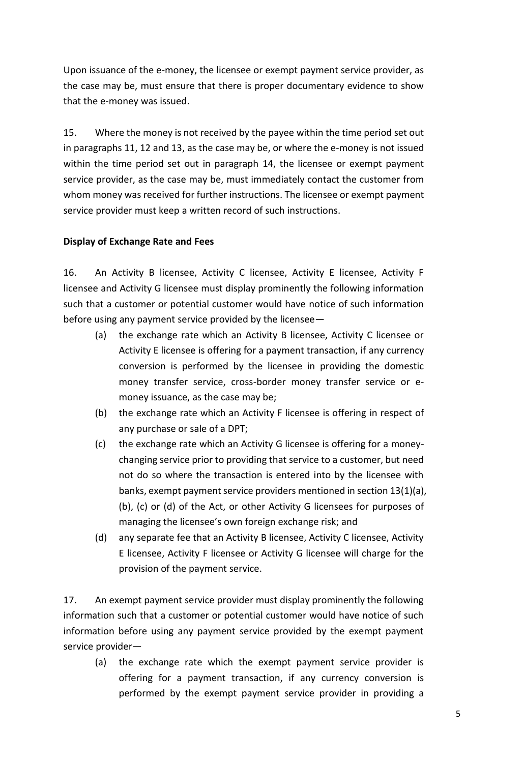Upon issuance of the e-money, the licensee or exempt payment service provider, as the case may be, must ensure that there is proper documentary evidence to show that the e-money was issued.

15. Where the money is not received by the payee within the time period set out in paragraphs 11, 12 and 13, as the case may be, or where the e-money is not issued within the time period set out in paragraph 14, the licensee or exempt payment service provider, as the case may be, must immediately contact the customer from whom money was received for further instructions. The licensee or exempt payment service provider must keep a written record of such instructions.

### **Display of Exchange Rate and Fees**

16. An Activity B licensee, Activity C licensee, Activity E licensee, Activity F licensee and Activity G licensee must display prominently the following information such that a customer or potential customer would have notice of such information before using any payment service provided by the licensee—

- (a) the exchange rate which an Activity B licensee, Activity C licensee or Activity E licensee is offering for a payment transaction, if any currency conversion is performed by the licensee in providing the domestic money transfer service, cross-border money transfer service or emoney issuance, as the case may be;
- (b) the exchange rate which an Activity F licensee is offering in respect of any purchase or sale of a DPT;
- (c) the exchange rate which an Activity G licensee is offering for a moneychanging service prior to providing that service to a customer, but need not do so where the transaction is entered into by the licensee with banks, exempt payment service providers mentioned in section 13(1)(a), (b), (c) or (d) of the Act, or other Activity G licensees for purposes of managing the licensee's own foreign exchange risk; and
- (d) any separate fee that an Activity B licensee, Activity C licensee, Activity E licensee, Activity F licensee or Activity G licensee will charge for the provision of the payment service.

17. An exempt payment service provider must display prominently the following information such that a customer or potential customer would have notice of such information before using any payment service provided by the exempt payment service provider—

(a) the exchange rate which the exempt payment service provider is offering for a payment transaction, if any currency conversion is performed by the exempt payment service provider in providing a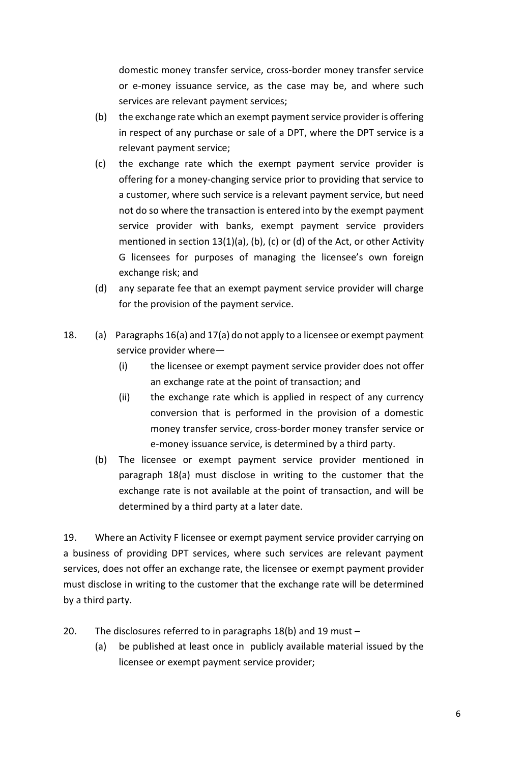domestic money transfer service, cross-border money transfer service or e-money issuance service, as the case may be, and where such services are relevant payment services;

- (b) the exchange rate which an exempt payment service provider is offering in respect of any purchase or sale of a DPT, where the DPT service is a relevant payment service;
- (c) the exchange rate which the exempt payment service provider is offering for a money-changing service prior to providing that service to a customer, where such service is a relevant payment service, but need not do so where the transaction is entered into by the exempt payment service provider with banks, exempt payment service providers mentioned in section 13(1)(a), (b), (c) or (d) of the Act, or other Activity G licensees for purposes of managing the licensee's own foreign exchange risk; and
- (d) any separate fee that an exempt payment service provider will charge for the provision of the payment service.
- 18. (a) Paragraphs 16(a) and 17(a) do not apply to a licensee or exempt payment service provider where—
	- (i) the licensee or exempt payment service provider does not offer an exchange rate at the point of transaction; and
	- (ii) the exchange rate which is applied in respect of any currency conversion that is performed in the provision of a domestic money transfer service, cross-border money transfer service or e-money issuance service, is determined by a third party.
	- (b) The licensee or exempt payment service provider mentioned in paragraph 18(a) must disclose in writing to the customer that the exchange rate is not available at the point of transaction, and will be determined by a third party at a later date.

19. Where an Activity F licensee or exempt payment service provider carrying on a business of providing DPT services, where such services are relevant payment services, does not offer an exchange rate, the licensee or exempt payment provider must disclose in writing to the customer that the exchange rate will be determined by a third party.

- 20. The disclosures referred to in paragraphs 18(b) and 19 must
	- (a) be published at least once in publicly available material issued by the licensee or exempt payment service provider;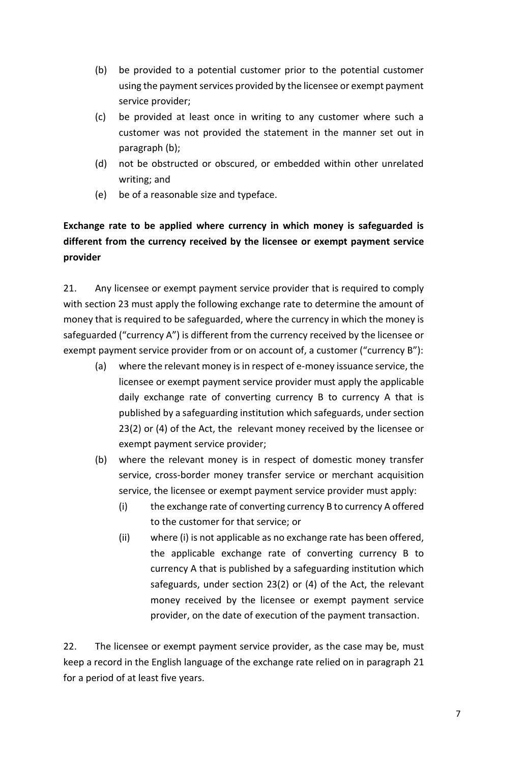- (b) be provided to a potential customer prior to the potential customer using the payment services provided by the licensee or exempt payment service provider;
- (c) be provided at least once in writing to any customer where such a customer was not provided the statement in the manner set out in paragraph (b);
- (d) not be obstructed or obscured, or embedded within other unrelated writing; and
- (e) be of a reasonable size and typeface.

# **Exchange rate to be applied where currency in which money is safeguarded is different from the currency received by the licensee or exempt payment service provider**

21. Any licensee or exempt payment service provider that is required to comply with section 23 must apply the following exchange rate to determine the amount of money that is required to be safeguarded, where the currency in which the money is safeguarded ("currency A") is different from the currency received by the licensee or exempt payment service provider from or on account of, a customer ("currency B"):

- (a) where the relevant money is in respect of e-money issuance service, the licensee or exempt payment service provider must apply the applicable daily exchange rate of converting currency B to currency A that is published by a safeguarding institution which safeguards, under section 23(2) or (4) of the Act, the relevant money received by the licensee or exempt payment service provider;
- (b) where the relevant money is in respect of domestic money transfer service, cross-border money transfer service or merchant acquisition service, the licensee or exempt payment service provider must apply:
	- (i) the exchange rate of converting currency B to currency A offered to the customer for that service; or
	- (ii) where (i) is not applicable as no exchange rate has been offered, the applicable exchange rate of converting currency B to currency A that is published by a safeguarding institution which safeguards, under section 23(2) or (4) of the Act, the relevant money received by the licensee or exempt payment service provider, on the date of execution of the payment transaction.

22. The licensee or exempt payment service provider, as the case may be, must keep a record in the English language of the exchange rate relied on in paragraph 21 for a period of at least five years.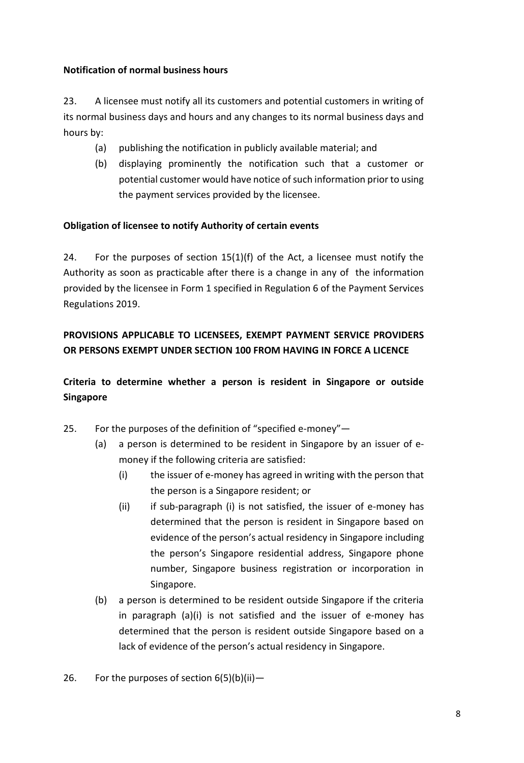# **Notification of normal business hours**

23. A licensee must notify all its customers and potential customers in writing of its normal business days and hours and any changes to its normal business days and hours by:

- (a) publishing the notification in publicly available material; and
- (b) displaying prominently the notification such that a customer or potential customer would have notice of such information prior to using the payment services provided by the licensee.

# **Obligation of licensee to notify Authority of certain events**

24. For the purposes of section  $15(1)(f)$  of the Act, a licensee must notify the Authority as soon as practicable after there is a change in any of the information provided by the licensee in Form 1 specified in Regulation 6 of the Payment Services Regulations 2019.

# **PROVISIONS APPLICABLE TO LICENSEES, EXEMPT PAYMENT SERVICE PROVIDERS OR PERSONS EXEMPT UNDER SECTION 100 FROM HAVING IN FORCE A LICENCE**

**Criteria to determine whether a person is resident in Singapore or outside Singapore**

- 25. For the purposes of the definition of "specified e-money"—
	- (a) a person is determined to be resident in Singapore by an issuer of emoney if the following criteria are satisfied:
		- (i) the issuer of e-money has agreed in writing with the person that the person is a Singapore resident; or
		- (ii) if sub-paragraph (i) is not satisfied, the issuer of e-money has determined that the person is resident in Singapore based on evidence of the person's actual residency in Singapore including the person's Singapore residential address, Singapore phone number, Singapore business registration or incorporation in Singapore.
	- (b) a person is determined to be resident outside Singapore if the criteria in paragraph (a)(i) is not satisfied and the issuer of e-money has determined that the person is resident outside Singapore based on a lack of evidence of the person's actual residency in Singapore.
- 26. For the purposes of section  $6(5)(b)(ii)$  -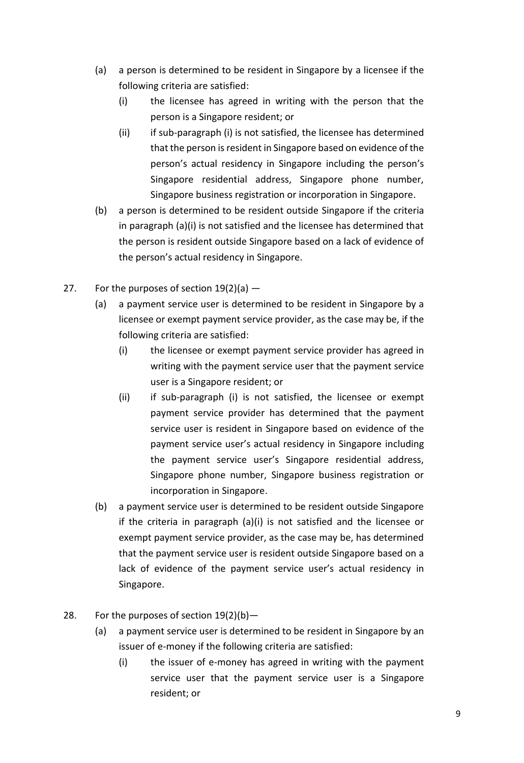- (a) a person is determined to be resident in Singapore by a licensee if the following criteria are satisfied:
	- (i) the licensee has agreed in writing with the person that the person is a Singapore resident; or
	- (ii) if sub-paragraph (i) is not satisfied, the licensee has determined that the person is resident in Singapore based on evidence of the person's actual residency in Singapore including the person's Singapore residential address, Singapore phone number, Singapore business registration or incorporation in Singapore.
- (b) a person is determined to be resident outside Singapore if the criteria in paragraph (a)(i) is not satisfied and the licensee has determined that the person is resident outside Singapore based on a lack of evidence of the person's actual residency in Singapore.
- 27. For the purposes of section  $19(2)(a)$  -
	- (a) a payment service user is determined to be resident in Singapore by a licensee or exempt payment service provider, as the case may be, if the following criteria are satisfied:
		- (i) the licensee or exempt payment service provider has agreed in writing with the payment service user that the payment service user is a Singapore resident; or
		- (ii) if sub-paragraph (i) is not satisfied, the licensee or exempt payment service provider has determined that the payment service user is resident in Singapore based on evidence of the payment service user's actual residency in Singapore including the payment service user's Singapore residential address, Singapore phone number, Singapore business registration or incorporation in Singapore.
	- (b) a payment service user is determined to be resident outside Singapore if the criteria in paragraph (a)(i) is not satisfied and the licensee or exempt payment service provider, as the case may be, has determined that the payment service user is resident outside Singapore based on a lack of evidence of the payment service user's actual residency in Singapore.
- 28. For the purposes of section  $19(2)(b)$  -
	- (a) a payment service user is determined to be resident in Singapore by an issuer of e-money if the following criteria are satisfied:
		- (i) the issuer of e-money has agreed in writing with the payment service user that the payment service user is a Singapore resident; or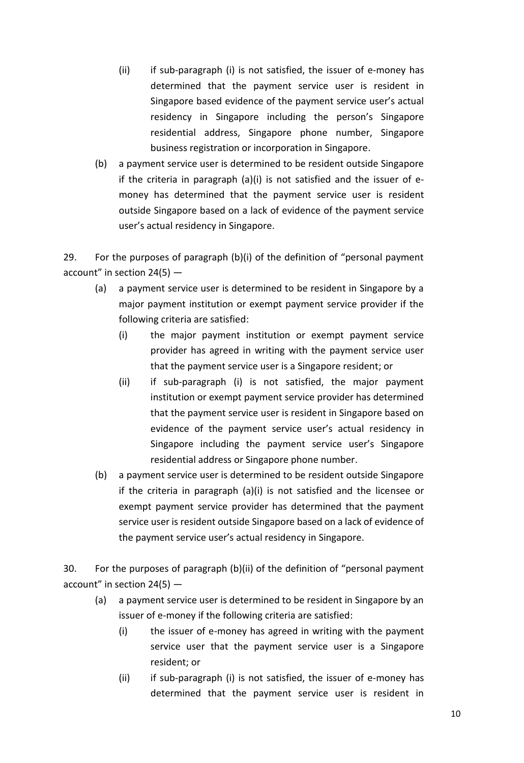- (ii) if sub-paragraph (i) is not satisfied, the issuer of e-money has determined that the payment service user is resident in Singapore based evidence of the payment service user's actual residency in Singapore including the person's Singapore residential address, Singapore phone number, Singapore business registration or incorporation in Singapore.
- (b) a payment service user is determined to be resident outside Singapore if the criteria in paragraph (a)(i) is not satisfied and the issuer of emoney has determined that the payment service user is resident outside Singapore based on a lack of evidence of the payment service user's actual residency in Singapore.

29. For the purposes of paragraph (b)(i) of the definition of "personal payment account" in section 24(5) —

- (a) a payment service user is determined to be resident in Singapore by a major payment institution or exempt payment service provider if the following criteria are satisfied:
	- (i) the major payment institution or exempt payment service provider has agreed in writing with the payment service user that the payment service user is a Singapore resident; or
	- (ii) if sub-paragraph (i) is not satisfied, the major payment institution or exempt payment service provider has determined that the payment service user is resident in Singapore based on evidence of the payment service user's actual residency in Singapore including the payment service user's Singapore residential address or Singapore phone number.
- (b) a payment service user is determined to be resident outside Singapore if the criteria in paragraph (a)(i) is not satisfied and the licensee or exempt payment service provider has determined that the payment service user is resident outside Singapore based on a lack of evidence of the payment service user's actual residency in Singapore.

30. For the purposes of paragraph (b)(ii) of the definition of "personal payment account" in section  $24(5)$  -

- (a) a payment service user is determined to be resident in Singapore by an issuer of e-money if the following criteria are satisfied:
	- (i) the issuer of e-money has agreed in writing with the payment service user that the payment service user is a Singapore resident; or
	- (ii) if sub-paragraph (i) is not satisfied, the issuer of e-money has determined that the payment service user is resident in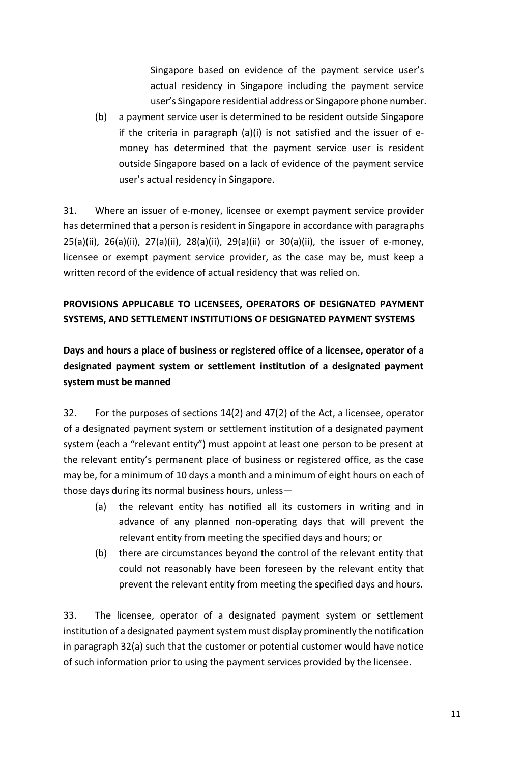Singapore based on evidence of the payment service user's actual residency in Singapore including the payment service user's Singapore residential address or Singapore phone number.

(b) a payment service user is determined to be resident outside Singapore if the criteria in paragraph (a)(i) is not satisfied and the issuer of emoney has determined that the payment service user is resident outside Singapore based on a lack of evidence of the payment service user's actual residency in Singapore.

31. Where an issuer of e-money, licensee or exempt payment service provider has determined that a person is resident in Singapore in accordance with paragraphs 25(a)(ii), 26(a)(ii), 27(a)(ii), 28(a)(ii), 29(a)(ii) or 30(a)(ii), the issuer of e-money, licensee or exempt payment service provider, as the case may be, must keep a written record of the evidence of actual residency that was relied on.

# **PROVISIONS APPLICABLE TO LICENSEES, OPERATORS OF DESIGNATED PAYMENT SYSTEMS, AND SETTLEMENT INSTITUTIONS OF DESIGNATED PAYMENT SYSTEMS**

**Days and hours a place of business or registered office of a licensee, operator of a designated payment system or settlement institution of a designated payment system must be manned**

32. For the purposes of sections 14(2) and 47(2) of the Act, a licensee, operator of a designated payment system or settlement institution of a designated payment system (each a "relevant entity") must appoint at least one person to be present at the relevant entity's permanent place of business or registered office, as the case may be, for a minimum of 10 days a month and a minimum of eight hours on each of those days during its normal business hours, unless—

- (a) the relevant entity has notified all its customers in writing and in advance of any planned non-operating days that will prevent the relevant entity from meeting the specified days and hours; or
- (b) there are circumstances beyond the control of the relevant entity that could not reasonably have been foreseen by the relevant entity that prevent the relevant entity from meeting the specified days and hours.

33. The licensee, operator of a designated payment system or settlement institution of a designated payment system must display prominently the notification in paragraph 32(a) such that the customer or potential customer would have notice of such information prior to using the payment services provided by the licensee.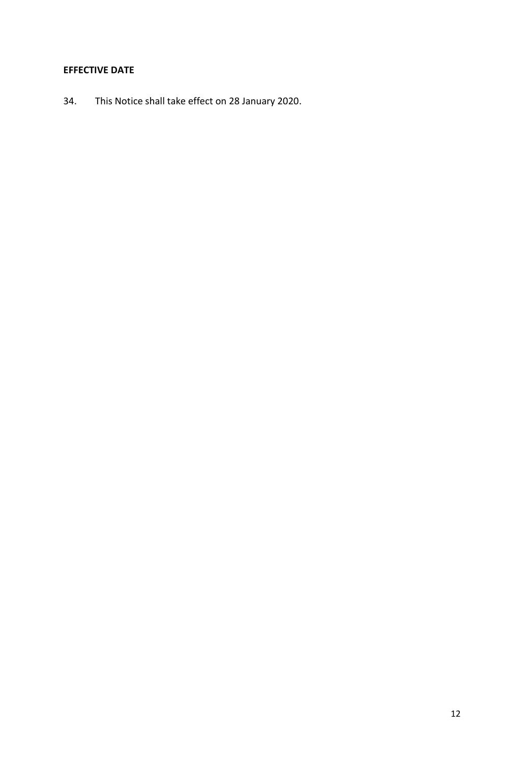## **EFFECTIVE DATE**

34. This Notice shall take effect on 28 January 2020.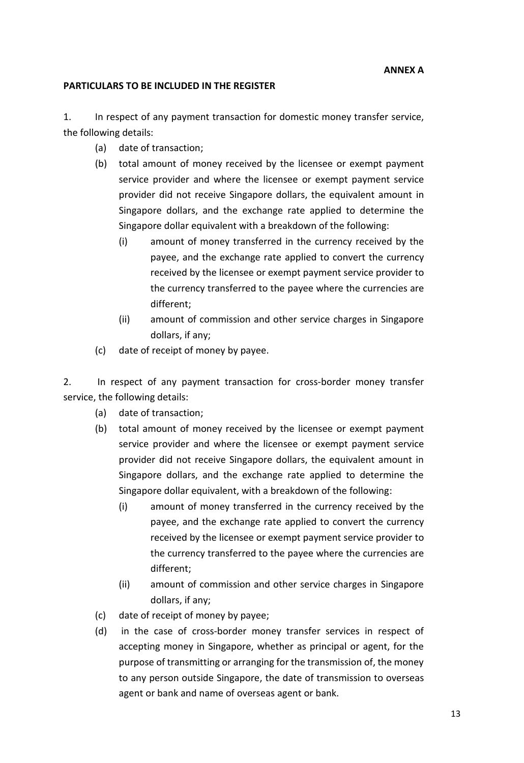#### **PARTICULARS TO BE INCLUDED IN THE REGISTER**

1. In respect of any payment transaction for domestic money transfer service, the following details:

- (a) date of transaction;
- (b) total amount of money received by the licensee or exempt payment service provider and where the licensee or exempt payment service provider did not receive Singapore dollars, the equivalent amount in Singapore dollars, and the exchange rate applied to determine the Singapore dollar equivalent with a breakdown of the following:
	- (i) amount of money transferred in the currency received by the payee, and the exchange rate applied to convert the currency received by the licensee or exempt payment service provider to the currency transferred to the payee where the currencies are different;
	- (ii) amount of commission and other service charges in Singapore dollars, if any;
- (c) date of receipt of money by payee.

2. In respect of any payment transaction for cross-border money transfer service, the following details:

- (a) date of transaction;
- (b) total amount of money received by the licensee or exempt payment service provider and where the licensee or exempt payment service provider did not receive Singapore dollars, the equivalent amount in Singapore dollars, and the exchange rate applied to determine the Singapore dollar equivalent, with a breakdown of the following:
	- (i) amount of money transferred in the currency received by the payee, and the exchange rate applied to convert the currency received by the licensee or exempt payment service provider to the currency transferred to the payee where the currencies are different;
	- (ii) amount of commission and other service charges in Singapore dollars, if any;
- (c) date of receipt of money by payee;
- (d) in the case of cross-border money transfer services in respect of accepting money in Singapore, whether as principal or agent, for the purpose of transmitting or arranging for the transmission of, the money to any person outside Singapore, the date of transmission to overseas agent or bank and name of overseas agent or bank.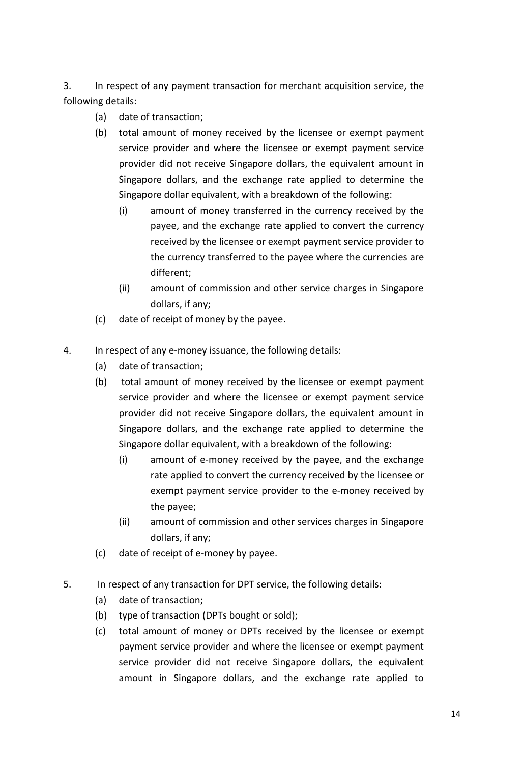3. In respect of any payment transaction for merchant acquisition service, the following details:

- (a) date of transaction;
- (b) total amount of money received by the licensee or exempt payment service provider and where the licensee or exempt payment service provider did not receive Singapore dollars, the equivalent amount in Singapore dollars, and the exchange rate applied to determine the Singapore dollar equivalent, with a breakdown of the following:
	- (i) amount of money transferred in the currency received by the payee, and the exchange rate applied to convert the currency received by the licensee or exempt payment service provider to the currency transferred to the payee where the currencies are different;
	- (ii) amount of commission and other service charges in Singapore dollars, if any;
- (c) date of receipt of money by the payee.
- 4. In respect of any e-money issuance, the following details:
	- (a) date of transaction;
	- (b) total amount of money received by the licensee or exempt payment service provider and where the licensee or exempt payment service provider did not receive Singapore dollars, the equivalent amount in Singapore dollars, and the exchange rate applied to determine the Singapore dollar equivalent, with a breakdown of the following:
		- (i) amount of e-money received by the payee, and the exchange rate applied to convert the currency received by the licensee or exempt payment service provider to the e-money received by the payee;
		- (ii) amount of commission and other services charges in Singapore dollars, if any;
	- (c) date of receipt of e-money by payee.
- 5. In respect of any transaction for DPT service, the following details:
	- (a) date of transaction;
	- (b) type of transaction (DPTs bought or sold);
	- (c) total amount of money or DPTs received by the licensee or exempt payment service provider and where the licensee or exempt payment service provider did not receive Singapore dollars, the equivalent amount in Singapore dollars, and the exchange rate applied to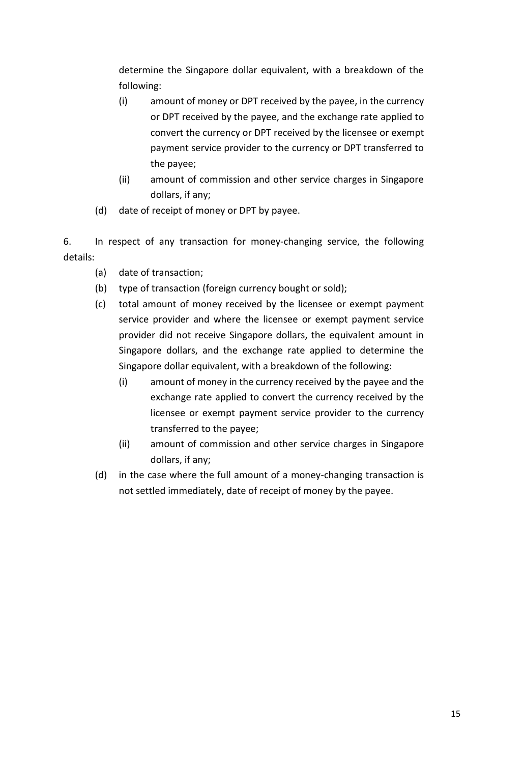determine the Singapore dollar equivalent, with a breakdown of the following:

- (i) amount of money or DPT received by the payee, in the currency or DPT received by the payee, and the exchange rate applied to convert the currency or DPT received by the licensee or exempt payment service provider to the currency or DPT transferred to the payee;
- (ii) amount of commission and other service charges in Singapore dollars, if any;
- (d) date of receipt of money or DPT by payee.

6. In respect of any transaction for money-changing service, the following details:

- (a) date of transaction;
- (b) type of transaction (foreign currency bought or sold);
- (c) total amount of money received by the licensee or exempt payment service provider and where the licensee or exempt payment service provider did not receive Singapore dollars, the equivalent amount in Singapore dollars, and the exchange rate applied to determine the Singapore dollar equivalent, with a breakdown of the following:
	- (i) amount of money in the currency received by the payee and the exchange rate applied to convert the currency received by the licensee or exempt payment service provider to the currency transferred to the payee;
	- (ii) amount of commission and other service charges in Singapore dollars, if any;
- (d) in the case where the full amount of a money-changing transaction is not settled immediately, date of receipt of money by the payee.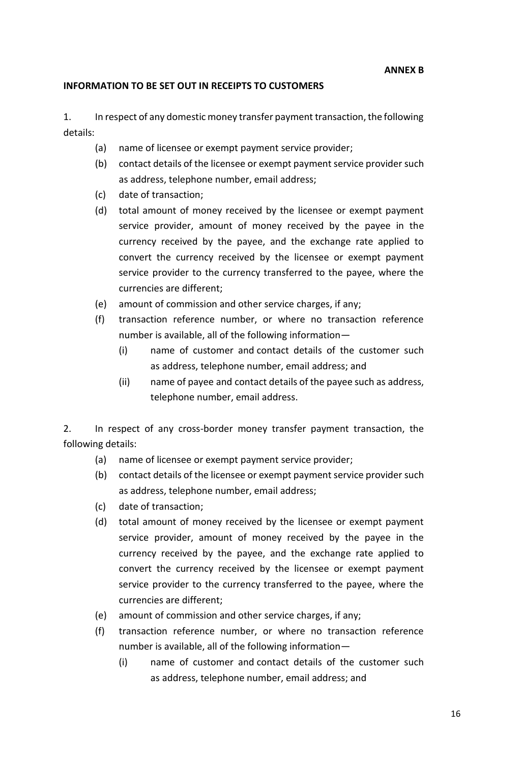**ANNEX B**

## **INFORMATION TO BE SET OUT IN RECEIPTS TO CUSTOMERS**

1. In respect of any domestic money transfer payment transaction, the following details:

- (a) name of licensee or exempt payment service provider;
- (b) contact details of the licensee or exempt payment service provider such as address, telephone number, email address;
- (c) date of transaction;
- (d) total amount of money received by the licensee or exempt payment service provider, amount of money received by the payee in the currency received by the payee, and the exchange rate applied to convert the currency received by the licensee or exempt payment service provider to the currency transferred to the payee, where the currencies are different;
- (e) amount of commission and other service charges, if any;
- (f) transaction reference number, or where no transaction reference number is available, all of the following information—
	- (i) name of customer and contact details of the customer such as address, telephone number, email address; and
	- (ii) name of payee and contact details of the payee such as address, telephone number, email address.

2. In respect of any cross-border money transfer payment transaction, the following details:

- (a) name of licensee or exempt payment service provider;
- (b) contact details of the licensee or exempt payment service provider such as address, telephone number, email address;
- (c) date of transaction;
- (d) total amount of money received by the licensee or exempt payment service provider, amount of money received by the payee in the currency received by the payee, and the exchange rate applied to convert the currency received by the licensee or exempt payment service provider to the currency transferred to the payee, where the currencies are different;
- (e) amount of commission and other service charges, if any;
- (f) transaction reference number, or where no transaction reference number is available, all of the following information—
	- (i) name of customer and contact details of the customer such as address, telephone number, email address; and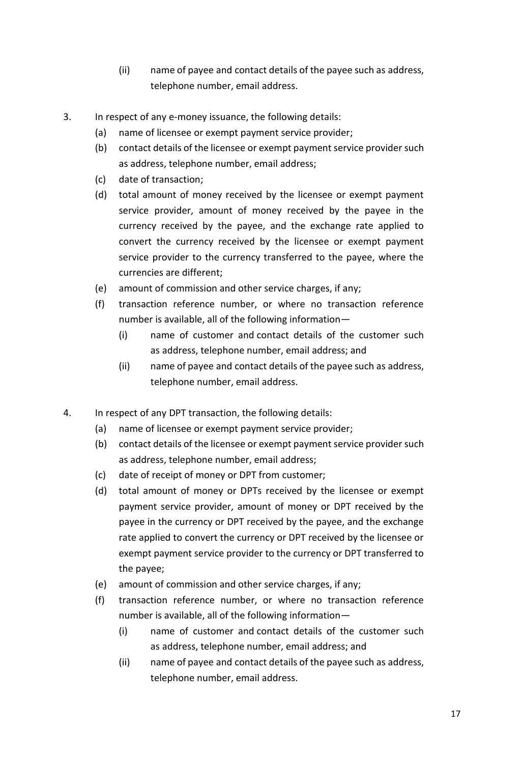- (ii) name of payee and contact details of the payee such as address, telephone number, email address.
- 3. In respect of any e-money issuance, the following details:
	- (a) name of licensee or exempt payment service provider;
	- (b) contact details of the licensee or exempt payment service provider such as address, telephone number, email address;
	- (c) date of transaction;
	- (d) total amount of money received by the licensee or exempt payment service provider, amount of money received by the payee in the currency received by the payee, and the exchange rate applied to convert the currency received by the licensee or exempt payment service provider to the currency transferred to the payee, where the currencies are different;
	- (e) amount of commission and other service charges, if any;
	- (f) transaction reference number, or where no transaction reference number is available, all of the following information—
		- (i) name of customer and contact details of the customer such as address, telephone number, email address; and
		- (ii) name of payee and contact details of the payee such as address, telephone number, email address.
- 4. In respect of any DPT transaction, the following details:
	- (a) name of licensee or exempt payment service provider;
	- (b) contact details of the licensee or exempt payment service provider such as address, telephone number, email address;
	- (c) date of receipt of money or DPT from customer;
	- (d) total amount of money or DPTs received by the licensee or exempt payment service provider, amount of money or DPT received by the payee in the currency or DPT received by the payee, and the exchange rate applied to convert the currency or DPT received by the licensee or exempt payment service provider to the currency or DPT transferred to the payee;
	- (e) amount of commission and other service charges, if any;
	- (f) transaction reference number, or where no transaction reference number is available, all of the following information—
		- (i) name of customer and contact details of the customer such as address, telephone number, email address; and
		- (ii) name of payee and contact details of the payee such as address, telephone number, email address.